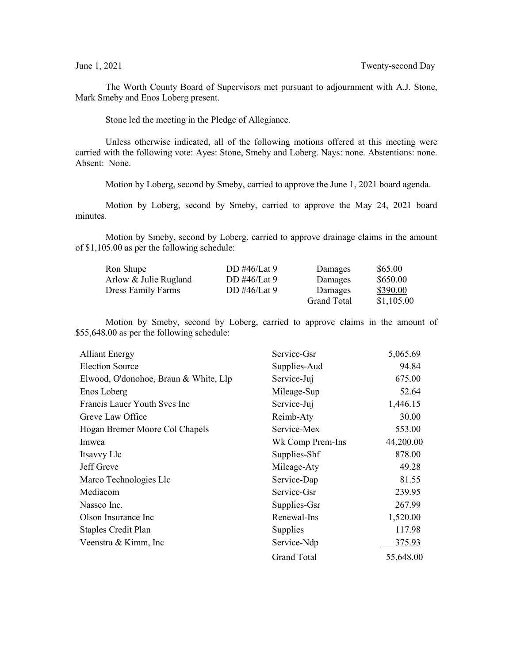The Worth County Board of Supervisors met pursuant to adjournment with A.J. Stone, Mark Smeby and Enos Loberg present.

Stone led the meeting in the Pledge of Allegiance.

Unless otherwise indicated, all of the following motions offered at this meeting were carried with the following vote: Ayes: Stone, Smeby and Loberg. Nays: none. Abstentions: none. Absent: None.

Motion by Loberg, second by Smeby, carried to approve the June 1, 2021 board agenda.

Motion by Loberg, second by Smeby, carried to approve the May 24, 2021 board minutes.

Motion by Smeby, second by Loberg, carried to approve drainage claims in the amount of \$1,105.00 as per the following schedule:

| Ron Shupe                 | DD #46/Lat 9   | Damages            | \$65.00    |
|---------------------------|----------------|--------------------|------------|
| Arlow & Julie Rugland     | DD #46/Lat $9$ | Damages            | \$650.00   |
| <b>Dress Family Farms</b> | DD #46/Lat 9   | Damages            | \$390.00   |
|                           |                | <b>Grand Total</b> | \$1,105.00 |

Motion by Smeby, second by Loberg, carried to approve claims in the amount of \$55,648.00 as per the following schedule:

| <b>Alliant Energy</b>                 | Service-Gsr      | 5,065.69  |
|---------------------------------------|------------------|-----------|
| <b>Election Source</b>                | Supplies-Aud     | 94.84     |
| Elwood, O'donohoe, Braun & White, Llp | Service-Juj      | 675.00    |
| Enos Loberg                           | Mileage-Sup      | 52.64     |
| Francis Lauer Youth Svcs Inc          | Service-Juj      | 1,446.15  |
| Greve Law Office                      | Reimb-Aty        | 30.00     |
| Hogan Bremer Moore Col Chapels        | Service-Mex      | 553.00    |
| Imwca                                 | Wk Comp Prem-Ins | 44,200.00 |
| Itsavvy Llc                           | Supplies-Shf     | 878.00    |
| Jeff Greve                            | Mileage-Aty      | 49.28     |
| Marco Technologies Llc                | Service-Dap      | 81.55     |
| Mediacom                              | Service-Gsr      | 239.95    |
| Nassco Inc.                           | Supplies-Gsr     | 267.99    |
| Olson Insurance Inc                   | Renewal-Ins      | 1,520.00  |
| Staples Credit Plan                   | Supplies         | 117.98    |
| Veenstra & Kimm, Inc.                 | Service-Ndp      | 375.93    |
|                                       | Grand Total      | 55,648.00 |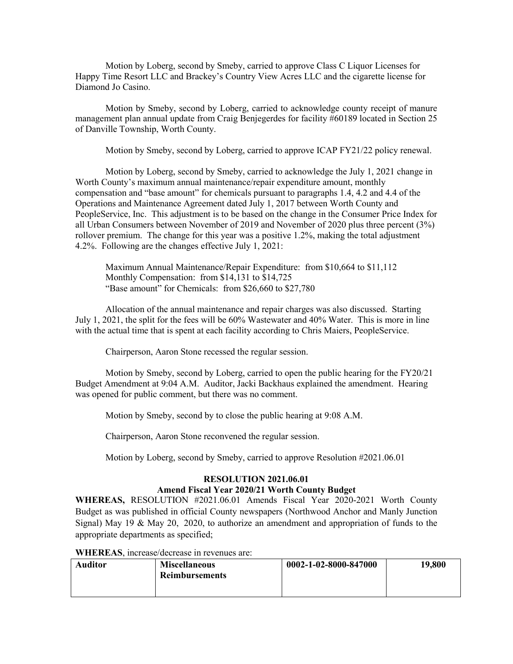Motion by Loberg, second by Smeby, carried to approve Class C Liquor Licenses for Happy Time Resort LLC and Brackey's Country View Acres LLC and the cigarette license for Diamond Jo Casino.

Motion by Smeby, second by Loberg, carried to acknowledge county receipt of manure management plan annual update from Craig Benjegerdes for facility #60189 located in Section 25 of Danville Township, Worth County.

Motion by Smeby, second by Loberg, carried to approve ICAP FY21/22 policy renewal.

Motion by Loberg, second by Smeby, carried to acknowledge the July 1, 2021 change in Worth County's maximum annual maintenance/repair expenditure amount, monthly compensation and "base amount" for chemicals pursuant to paragraphs 1.4, 4.2 and 4.4 of the Operations and Maintenance Agreement dated July 1, 2017 between Worth County and PeopleService, Inc. This adjustment is to be based on the change in the Consumer Price Index for all Urban Consumers between November of 2019 and November of 2020 plus three percent (3%) rollover premium. The change for this year was a positive 1.2%, making the total adjustment 4.2%. Following are the changes effective July 1, 2021:

Maximum Annual Maintenance/Repair Expenditure: from \$10,664 to \$11,112 Monthly Compensation: from \$14,131 to \$14,725 "Base amount" for Chemicals: from \$26,660 to \$27,780

Allocation of the annual maintenance and repair charges was also discussed. Starting July 1, 2021, the split for the fees will be 60% Wastewater and 40% Water. This is more in line with the actual time that is spent at each facility according to Chris Maiers, PeopleService.

Chairperson, Aaron Stone recessed the regular session.

Motion by Smeby, second by Loberg, carried to open the public hearing for the FY20/21 Budget Amendment at 9:04 A.M. Auditor, Jacki Backhaus explained the amendment. Hearing was opened for public comment, but there was no comment.

Motion by Smeby, second by to close the public hearing at 9:08 A.M.

Chairperson, Aaron Stone reconvened the regular session.

Motion by Loberg, second by Smeby, carried to approve Resolution #2021.06.01

## **RESOLUTION 2021.06.01**

## **Amend Fiscal Year 2020/21 Worth County Budget**

**WHEREAS,** RESOLUTION #2021.06.01 Amends Fiscal Year 2020-2021 Worth County Budget as was published in official County newspapers (Northwood Anchor and Manly Junction Signal) May 19 & May 20, 2020, to authorize an amendment and appropriation of funds to the appropriate departments as specified;

## **WHEREAS**, increase/decrease in revenues are:

| <b>Auditor</b> | <b>Miscellaneous</b>  | 0002-1-02-8000-847000 | 19,800 |
|----------------|-----------------------|-----------------------|--------|
|                | <b>Reimbursements</b> |                       |        |
|                |                       |                       |        |
|                |                       |                       |        |